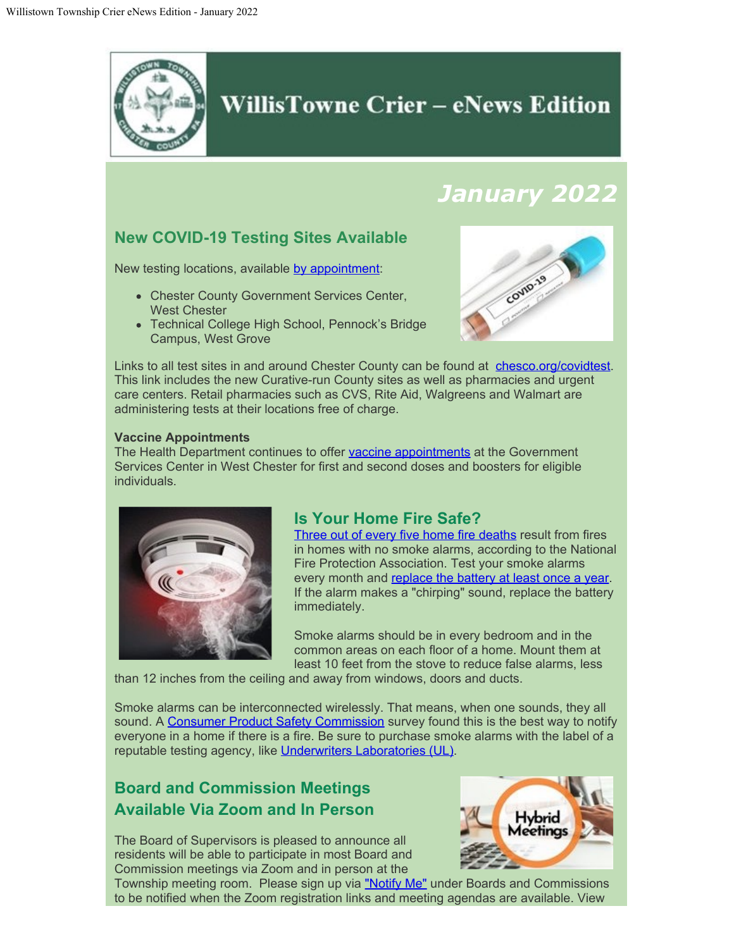

# **WillisTowne Crier – eNews Edition**

# *January 2022*

# **New COVID-19 Testing Sites Available**

New testing locations, available [by appointment](https://cts.vrmailer3.com/click?sk=aA4gB2JgVjBINyRtaAOoF5KMDl0xAsPAJJ461qKsKGU4=/aHR0cHM6Ly9jdXJhdGl2ZS5jb20v/F6Xp3I8aBZeRK8Lj2yPhuQ==&merge_field_type=(?x-mi:(?%3C=href=)%5B%5Cs%5D*%5B):

- Chester County Government Services Center, West Chester
- Technical College High School, Pennock's Bridge Campus, West Grove



Links to all test sites in and around Chester County can be found at [chesco.org/covidtest](https://cts.vrmailer3.com/click?sk=aA4gB2JgVjBINyRtaAOoF5KMDl0xAsPAJJ461qKsKGU4=/aHR0cHM6Ly9jaGVzY28ub3JnL2NvdmlkdGVzdA==/peFT8AsV4SIMEsHsNb_PPg==&merge_field_type=(?x-mi:(?%3C=href=)%5B%5Cs%5D*%5B). This link includes the new Curative-run County sites as well as pharmacies and urgent care centers. Retail pharmacies such as CVS, Rite Aid, Walgreens and Walmart are administering tests at their locations free of charge.

#### **Vaccine Appointments**

The Health Department continues to offer [vaccine appointments](https://www.chesco.org/covidvaccine) at the Government Services Center in West Chester for first and second doses and boosters for eligible individuals.



## **Is Your Home Fire Safe?**

[Three out of every five home fire deaths](https://www.nfpa.org/News-and-Research/Data-research-and-tools/Detection-and-Signaling/Smoke-Alarms-in-US-Home-Fires) result from fires in homes with no smoke alarms, according to the National Fire Protection Association. Test your smoke alarms every month and [replace the battery at least once a year.](http://www.nfpa.org/safety-information/for-consumers/fire-and-safety-equipment/smoke-alarms) If the alarm makes a "chirping" sound, replace the battery immediately.

Smoke alarms should be in every bedroom and in the common areas on each floor of a home. Mount them at least 10 feet from the stove to reduce false alarms, less

than 12 inches from the ceiling and away from windows, doors and ducts.

Smoke alarms can be interconnected wirelessly. That means, when one sounds, they all sound. A [Consumer Product Safety Commission](https://www.cpsc.gov/PageFiles/119009/559.pdf) survey found this is the best way to notify everyone in a home if there is a fire. Be sure to purchase smoke alarms with the label of a reputable testing agency, like [Underwriters Laboratories \(UL\)](http://ul.com/).

# **Board and Commission Meetings Available Via Zoom and In Person**

The Board of Supervisors is pleased to announce all residents will be able to participate in most Board and Commission meetings via Zoom and in person at the



Township meeting room. Please sign up via ["Notify Me"](https://www.willistown.pa.us/list.aspx) under Boards and Commissions to be notified when the Zoom registration links and meeting agendas are available. View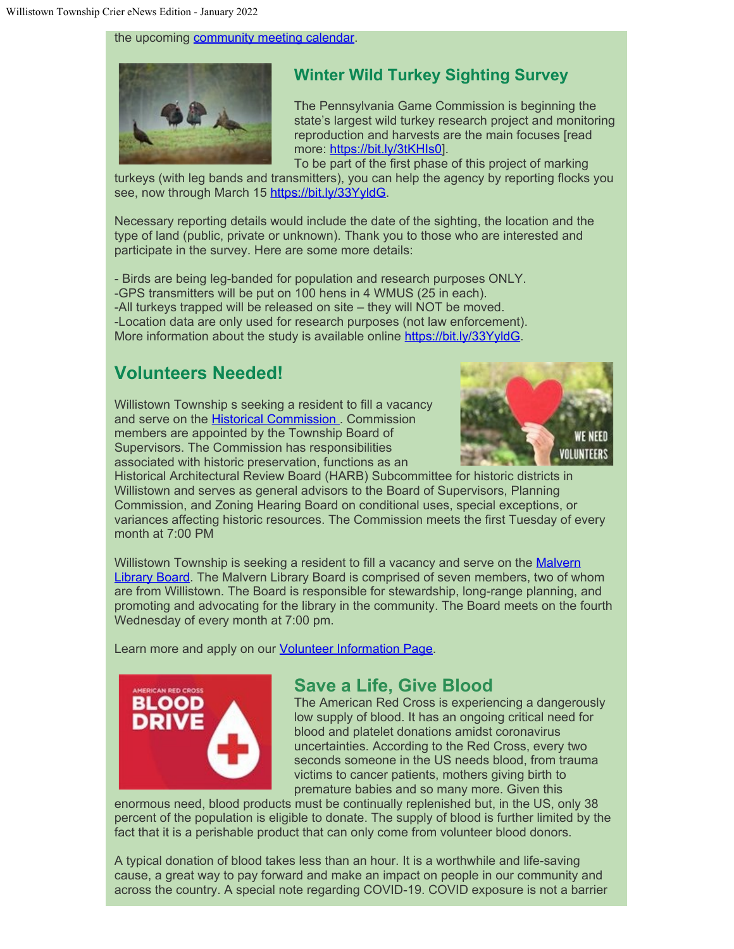the upcoming [community meeting calendar](https://www.willistown.pa.us/calendar.aspx?CID=26,14,22,).



# **Winter Wild Turkey Sighting Survey**

The Pennsylvania Game Commission is beginning the state's largest wild turkey research project and monitoring reproduction and harvests are the main focuses [read more: [https://bit.ly/3tKHIs0](https://bit.ly/3tKHIs0?fbclid=IwAR2F8jDzniacd2bnyHNl96Q9bofytPybddPlTYEbEjn2RKkXtvVapM_AF1k)].

To be part of the first phase of this project of marking turkeys (with leg bands and transmitters), you can help the agency by reporting flocks you see, now through March 15 [https://bit.ly/33YyldG](https://bit.ly/33YyldG?fbclid=IwAR0mK_2mcdl-A6eUUqAjaaFzUuGE_t3VgtyK8UFkAOPa9U_6hUN9QmHni78).

Necessary reporting details would include the date of the sighting, the location and the type of land (public, private or unknown). Thank you to those who are interested and participate in the survey. Here are some more details:

- Birds are being leg-banded for population and research purposes ONLY. -GPS transmitters will be put on 100 hens in 4 WMUS (25 in each). -All turkeys trapped will be released on site – they will NOT be moved. -Location data are only used for research purposes (not law enforcement). More information about the study is available online [https://bit.ly/33YyldG](https://bit.ly/33YyldG?fbclid=IwAR2eo5p5QUhdW360KQLFSCN5OzvDmtISDcoIbtA9vzjxbgI40j8zdbv-QM4).

# **Volunteers Needed!**

Willistown Township s seeking a resident to fill a vacancy and serve on the **Historical Commission**. Commission members are appointed by the Township Board of Supervisors. The Commission has responsibilities associated with historic preservation, functions as an



Historical Architectural Review Board (HARB) Subcommittee for historic districts in Willistown and serves as general advisors to the Board of Supervisors, Planning Commission, and Zoning Hearing Board on conditional uses, special exceptions, or variances affecting historic resources. The Commission meets the first Tuesday of every month at 7:00 PM

Willistown Township is seeking a resident to fill a vacancy and serve on the [Malvern](https://www.willistown.pa.us/104/Malvern-Library-Board) [Library Board.](https://www.willistown.pa.us/104/Malvern-Library-Board) The Malvern Library Board is comprised of seven members, two of whom are from Willistown. The Board is responsible for stewardship, long-range planning, and promoting and advocating for the library in the community. The Board meets on the fourth Wednesday of every month at 7:00 pm.

Learn more and apply on our **Volunteer Information Page**.



## **Save a Life, Give Blood**

The American Red Cross is experiencing a dangerously low supply of blood. It has an ongoing critical need for blood and platelet donations amidst coronavirus uncertainties. According to the Red Cross, every two seconds someone in the US needs blood, from trauma victims to cancer patients, mothers giving birth to premature babies and so many more. Given this

enormous need, blood products must be continually replenished but, in the US, only 38 percent of the population is eligible to donate. The supply of blood is further limited by the fact that it is a perishable product that can only come from volunteer blood donors.

A typical donation of blood takes less than an hour. It is a worthwhile and life-saving cause, a great way to pay forward and make an impact on people in our community and across the country. A special note regarding COVID-19. COVID exposure is not a barrier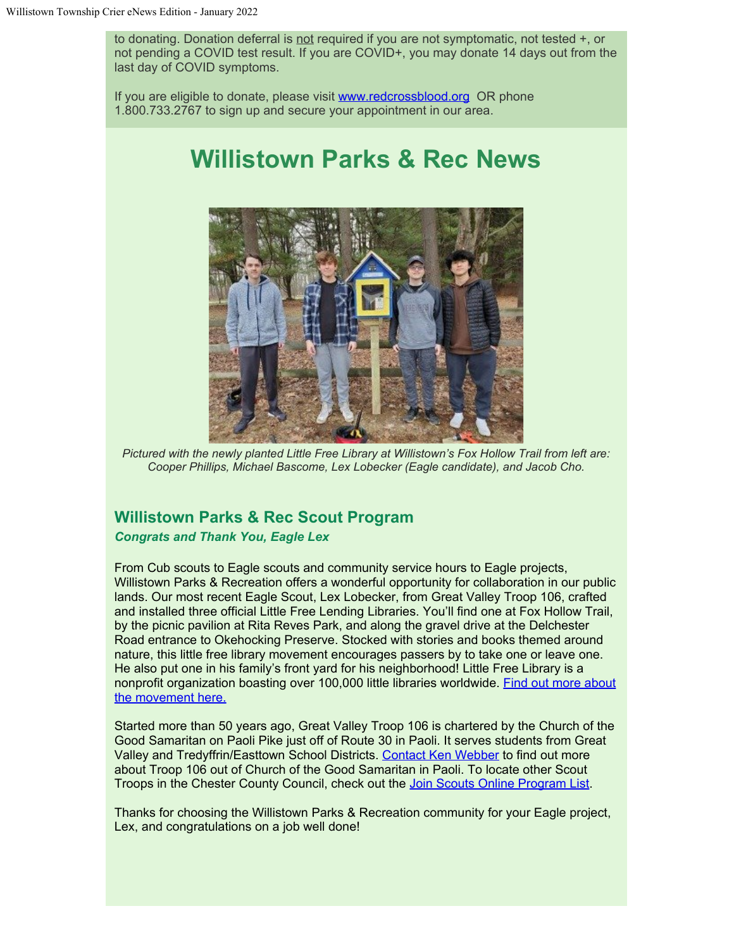to donating. Donation deferral is not required if you are not symptomatic, not tested +, or not pending a COVID test result. If you are COVID+, you may donate 14 days out from the last day of COVID symptoms.

If you are eligible to donate, please visit [www.redcrossblood.org](http://www.redcrossblood.org/) OR phone 1.800.733.2767 to sign up and secure your appointment in our area.

# **Willistown Parks & Rec News**



*Pictured with the newly planted Little Free Library at Willistown's Fox Hollow Trail from left are: Cooper Phillips, Michael Bascome, Lex Lobecker (Eagle candidate), and Jacob Cho.*

### **Willistown Parks & Rec Scout Program**

#### *Congrats and Thank You, Eagle Lex*

From Cub scouts to Eagle scouts and community service hours to Eagle projects, Willistown Parks & Recreation offers a wonderful opportunity for collaboration in our public lands. Our most recent Eagle Scout, Lex Lobecker, from Great Valley Troop 106, crafted and installed three official Little Free Lending Libraries. You'll find one at Fox Hollow Trail, by the picnic pavilion at Rita Reves Park, and along the gravel drive at the Delchester Road entrance to Okehocking Preserve. Stocked with stories and books themed around nature, this little free library movement encourages passers by to take one or leave one. He also put one in his family's front yard for his neighborhood! Little Free Library is a nonprofit organization boasting over 100,000 little libraries worldwide. [Find out more about](https://littlefreelibrary.org/) [the movement here.](https://littlefreelibrary.org/)

Started more than 50 years ago, Great Valley Troop 106 is chartered by the Church of the Good Samaritan on Paoli Pike just off of Route 30 in Paoli. It serves students from Great Valley and Tredyffrin/Easttown School Districts. [Contact Ken Webber](mailto:%20kenweber@comcast.net) to find out more about Troop 106 out of Church of the Good Samaritan in Paoli. To locate other Scout Troops in the Chester County Council, check out the [Join Scouts Online Program List](https://www.cccbsa.org/join-scouts-bsa/).

Thanks for choosing the Willistown Parks & Recreation community for your Eagle project, Lex, and congratulations on a job well done!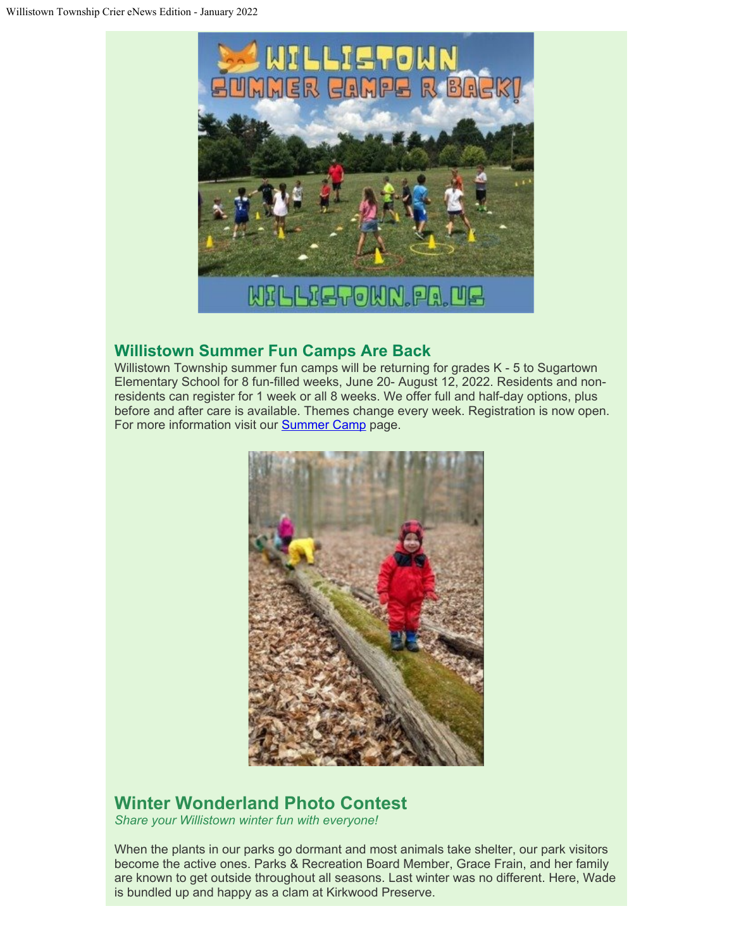

## **Willistown Summer Fun Camps Are Back**

Willistown Township summer fun camps will be returning for grades K - 5 to Sugartown Elementary School for 8 fun-filled weeks, June 20- August 12, 2022. Residents and nonresidents can register for 1 week or all 8 weeks. We offer full and half-day options, plus before and after care is available. Themes change every week. Registration is now open. For more information visit our **[Summer Camp](https://www.willistown.pa.us/264/Camps)** page.



# **Winter Wonderland Photo Contest**

*Share your Willistown winter fun with everyone!*

When the plants in our parks go dormant and most animals take shelter, our park visitors become the active ones. Parks & Recreation Board Member, Grace Frain, and her family are known to get outside throughout all seasons. Last winter was no different. Here, Wade is bundled up and happy as a clam at Kirkwood Preserve.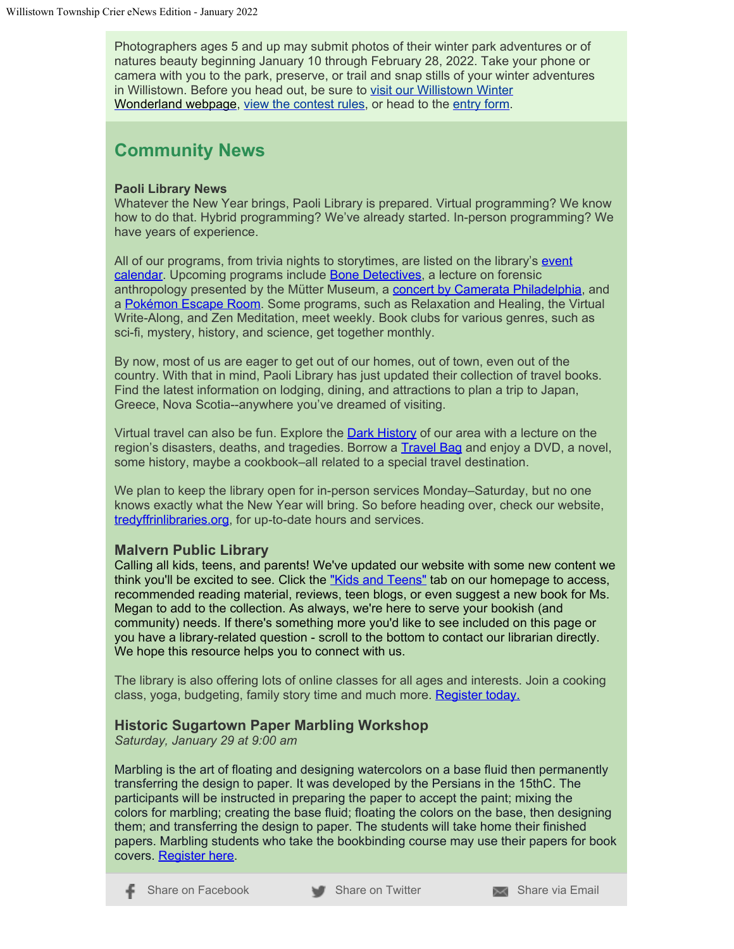Photographers ages 5 and up may submit photos of their winter park adventures or of natures beauty beginning January 10 through February 28, 2022. Take your phone or camera with you to the park, preserve, or trail and snap stills of your winter adventures in Willistown. Before you head out, be sure to [visit our Willistown Winter](https://www.willistown.pa.us/323/Winter-Wonderland-Photo-Contest) [Wonderland](https://www.willistown.pa.us/323/Winter-Wonderland-Photo-Contest) webpage, [view the contest rules](https://www.willistown.pa.us/DocumentCenter/View/1921/Winter-Wonderlands-Photo-Contest-Guidelines), or head to the [entry form](https://willistownparksandrec.wufoo.com/forms/zgvzqiu1w69csz/).

# **Community News**

### **Paoli Library News**

Whatever the New Year brings, Paoli Library is prepared. Virtual programming? We know how to do that. Hybrid programming? We've already started. In-person programming? We have years of experience.

All of our programs, from trivia nights to storytimes, are listed on the library's [event](https://www.tredyffrinlibraries.org/virtual-calendar/) [calendar.](https://www.tredyffrinlibraries.org/virtual-calendar/) Upcoming programs include **Bone Detectives**, a lecture on forensic anthropology presented by the Mütter Museum, a [concert by Camerata Philadelphia](https://ccls.libcal.com/event/8554478), and a [Pokémon Escape Room](https://ccls.libcal.com/event/8673246). Some programs, such as Relaxation and Healing, the Virtual Write-Along, and Zen Meditation, meet weekly. Book clubs for various genres, such as sci-fi, mystery, history, and science, get together monthly.

By now, most of us are eager to get out of our homes, out of town, even out of the country. With that in mind, Paoli Library has just updated their collection of travel books. Find the latest information on lodging, dining, and attractions to plan a trip to Japan, Greece, Nova Scotia--anywhere you've dreamed of visiting.

Virtual travel can also be fun. Explore the [Dark History](https://ccls.libcal.com/event/8615445) of our area with a lecture on the region's disasters, deaths, and tragedies. Borrow a **[Travel Bag](https://docs.google.com/forms/d/e/1FAIpQLScURBW54JfMb6lurwiX-35oEsXRuAXJdiXfeLbAAG3kcPoQfg/viewform)** and enjoy a DVD, a novel, some history, maybe a cookbook–all related to a special travel destination.

We plan to keep the library open for in-person services Monday–Saturday, but no one knows exactly what the New Year will bring. So before heading over, check our website, [tredyffrinlibraries.org](https://www.tredyffrinlibraries.org/hours-directions/), for up-to-date hours and services.

### **Malvern Public Library**

Calling all kids, teens, and parents! We've updated our website with some new content we think you'll be excited to see. Click the ["Kids and Teens"](https://www.malvern-library.org/malvern-kids-teens?fbclid=IwAR1DIzEIS_TCeckgN8drNt45zbccfbw6HTwXif_U3LOLyazYXvhOhVrFqg4) tab on our homepage to access, recommended reading material, reviews, teen blogs, or even suggest a new book for Ms. Megan to add to the collection. As always, we're here to serve your bookish (and community) needs. If there's something more you'd like to see included on this page or you have a library-related question - scroll to the bottom to contact our librarian directly. We hope this resource helps you to connect with us.

The library is also offering lots of online classes for all ages and interests. Join a cooking class, yoga, budgeting, family story time and much more. [Register today.](https://ccls.libcal.com/calendar/Malvern?cid=13412&t=g&d=0000-00-00&cal=13412&inc=0)

### **Historic Sugartown Paper Marbling Workshop**

*Saturday, January 29 at 9:00 am*

Marbling is the art of floating and designing watercolors on a base fluid then permanently transferring the design to paper. It was developed by the Persians in the 15thC. The participants will be instructed in preparing the paper to accept the paint; mixing the colors for marbling; creating the base fluid; floating the colors on the base, then designing them; and transferring the design to paper. The students will take home their finished papers. Marbling students who take the bookbinding course may use their papers for book covers. [Register here](https://historicsugartown.org/single-post-name/paper-marbling-workshop-2/2022-01-29/).

[Share on Facebook](https://www.facebook.com/sharer/sharer.php?u=https://cvcpl.us/zym2p4c) [Share on Twitter](http://twitter.com/share?url=https://cvcpl.us/zym2p4c) [Share via Email](mailto:?subject=Check%20out%20this%20message&body=https://cvcpl.us/zym2p4c)